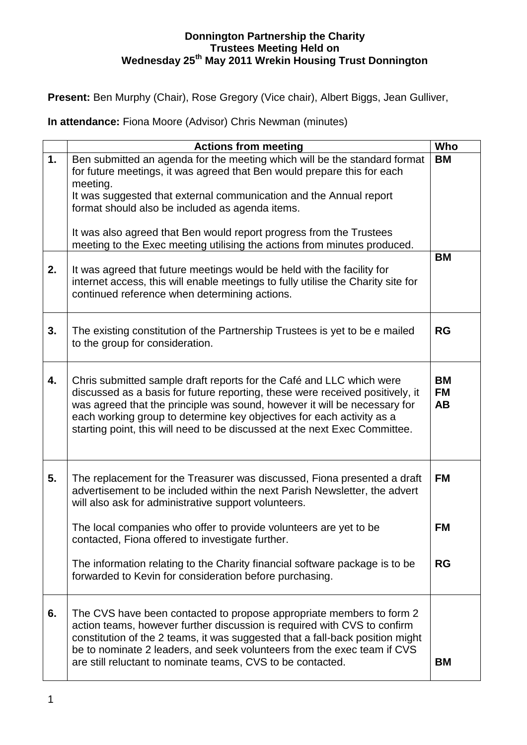## **Donnington Partnership the Charity Trustees Meeting Held on Wednesday 25th May 2011 Wrekin Housing Trust Donnington**

**Present:** Ben Murphy (Chair), Rose Gregory (Vice chair), Albert Biggs, Jean Gulliver,

**In attendance:** Fiona Moore (Advisor) Chris Newman (minutes)

|    | <b>Actions from meeting</b>                                                                                                                                                                                                                                                                                                                                                               | Who                          |
|----|-------------------------------------------------------------------------------------------------------------------------------------------------------------------------------------------------------------------------------------------------------------------------------------------------------------------------------------------------------------------------------------------|------------------------------|
| 1. | Ben submitted an agenda for the meeting which will be the standard format<br>for future meetings, it was agreed that Ben would prepare this for each<br>meeting.                                                                                                                                                                                                                          | <b>BM</b>                    |
|    | It was suggested that external communication and the Annual report<br>format should also be included as agenda items.                                                                                                                                                                                                                                                                     |                              |
|    | It was also agreed that Ben would report progress from the Trustees<br>meeting to the Exec meeting utilising the actions from minutes produced.                                                                                                                                                                                                                                           |                              |
| 2. | It was agreed that future meetings would be held with the facility for<br>internet access, this will enable meetings to fully utilise the Charity site for<br>continued reference when determining actions.                                                                                                                                                                               | <b>BM</b>                    |
| 3. | The existing constitution of the Partnership Trustees is yet to be e mailed<br>to the group for consideration.                                                                                                                                                                                                                                                                            | <b>RG</b>                    |
| 4. | Chris submitted sample draft reports for the Café and LLC which were<br>discussed as a basis for future reporting, these were received positively, it<br>was agreed that the principle was sound, however it will be necessary for<br>each working group to determine key objectives for each activity as a<br>starting point, this will need to be discussed at the next Exec Committee. | <b>BM</b><br><b>FM</b><br>AB |
| 5. | The replacement for the Treasurer was discussed, Fiona presented a draft<br>advertisement to be included within the next Parish Newsletter, the advert<br>will also ask for administrative support volunteers.                                                                                                                                                                            | <b>FM</b>                    |
|    | The local companies who offer to provide volunteers are yet to be<br>contacted, Fiona offered to investigate further.                                                                                                                                                                                                                                                                     | <b>FM</b>                    |
|    | The information relating to the Charity financial software package is to be<br>forwarded to Kevin for consideration before purchasing.                                                                                                                                                                                                                                                    | <b>RG</b>                    |
| 6. | The CVS have been contacted to propose appropriate members to form 2<br>action teams, however further discussion is required with CVS to confirm<br>constitution of the 2 teams, it was suggested that a fall-back position might<br>be to nominate 2 leaders, and seek volunteers from the exec team if CVS<br>are still reluctant to nominate teams, CVS to be contacted.               | <b>BM</b>                    |